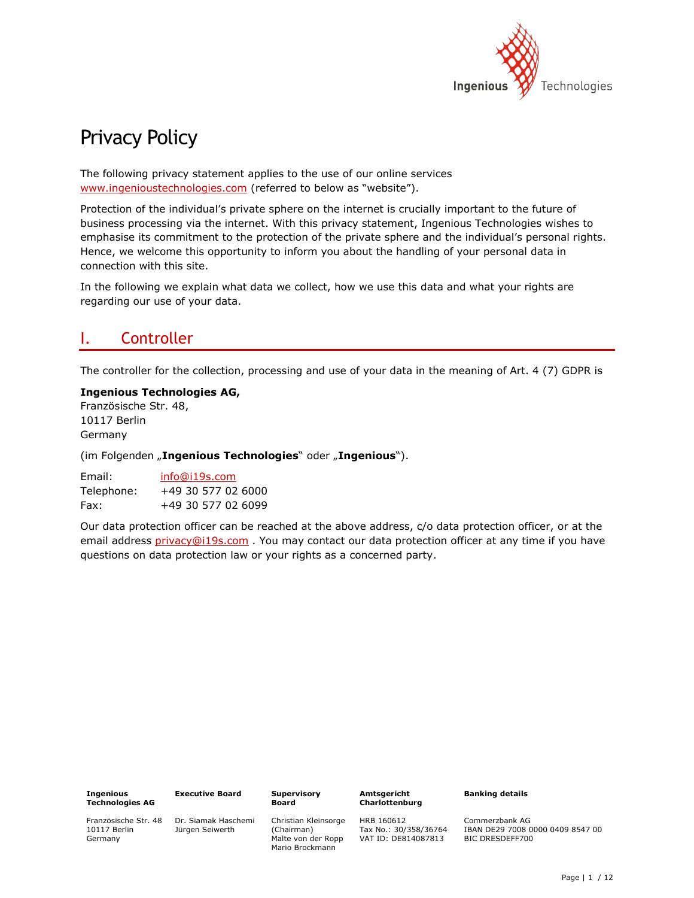

# Privacy Policy

The following privacy statement applies to the use of our online services [www.ingenioustechnologies.com](http://www.ingenioustechnologies.com/) (referred to below as "website").

Protection of the individual's private sphere on the internet is crucially important to the future of business processing via the internet. With this privacy statement, Ingenious Technologies wishes to emphasise its commitment to the protection of the private sphere and the individual's personal rights. Hence, we welcome this opportunity to inform you about the handling of your personal data in connection with this site.

In the following we explain what data we collect, how we use this data and what your rights are regarding our use of your data.

## I. Controller

The controller for the collection, processing and use of your data in the meaning of Art. 4 (7) GDPR is

### **Ingenious Technologies AG,** Französische Str. 48, 10117 Berlin

Germany

(im Folgenden "Ingenious Technologies" oder "Ingenious").

| Email:     | info@i19s.com      |
|------------|--------------------|
| Telephone: | +49 30 577 02 6000 |
| Fax:       | +49 30 577 02 6099 |

Our data protection officer can be reached at the above address, c/o data protection officer, or at the email address [privacy@i19s.com](mailto:privacy@i19s.com) . You may contact our data protection officer at any time if you have questions on data protection law or your rights as a concerned party.

| <b>Executive</b> |
|------------------|
|                  |
|                  |

Französische Str. 48 10117 Berlin Germany

**e** Board Dr. Siamak Haschemi

Jürgen Seiwerth

**Supervisory Board**

> Christian Kleinsorge (Chairman) Malte von der Ropp Mario Brockmann

**Amtsgericht Charlottenburg**

Tax No.: 30/358/36764 VAT ID: DE814087813

HRB 160612

**Banking details**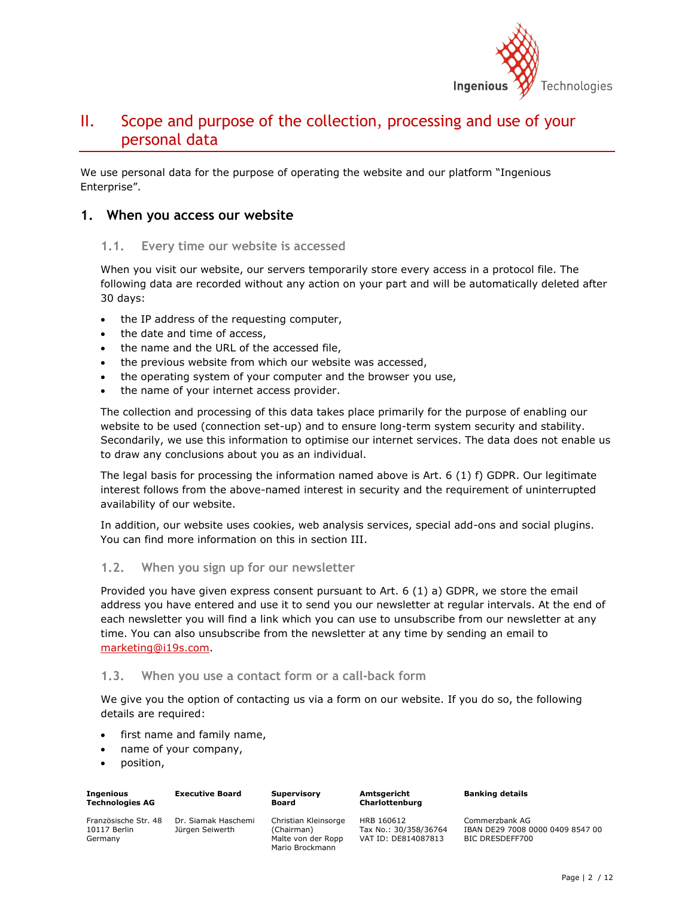

## II. Scope and purpose of the collection, processing and use of your personal data

We use personal data for the purpose of operating the website and our platform "Ingenious Enterprise".

### **1. When you access our website**

### **1.1. Every time our website is accessed**

When you visit our website, our servers temporarily store every access in a protocol file. The following data are recorded without any action on your part and will be automatically deleted after 30 days:

- the IP address of the requesting computer,
- the date and time of access,
- the name and the URL of the accessed file,
- the previous website from which our website was accessed,
- the operating system of your computer and the browser you use,
- the name of your internet access provider.

The collection and processing of this data takes place primarily for the purpose of enabling our website to be used (connection set-up) and to ensure long-term system security and stability. Secondarily, we use this information to optimise our internet services. The data does not enable us to draw any conclusions about you as an individual.

The legal basis for processing the information named above is Art. 6 (1) f) GDPR. Our legitimate interest follows from the above-named interest in security and the requirement of uninterrupted availability of our website.

In addition, our website uses cookies, web analysis services, special add-ons and social plugins. You can find more information on this in section III.

### **1.2. When you sign up for our newsletter**

Provided you have given express consent pursuant to Art. 6 (1) a) GDPR, we store the email address you have entered and use it to send you our newsletter at regular intervals. At the end of each newsletter you will find a link which you can use to unsubscribe from our newsletter at any time. You can also unsubscribe from the newsletter at any time by sending an email to [marketing@i19s.com.](mailto:marketing@i19s.com)

### **1.3. When you use a contact form or a call-back form**

We give you the option of contacting us via a form on our website. If you do so, the following details are required:

- first name and family name,
- name of your company,
- position,

| Ingenious                                       | <b>Executive Board</b>                 | <b>Supervisory</b>                                                          | Amtsgericht                                                |
|-------------------------------------------------|----------------------------------------|-----------------------------------------------------------------------------|------------------------------------------------------------|
| Technologies AG                                 |                                        | <b>Board</b>                                                                | Charlottenburg                                             |
| Französische Str. 48<br>10117 Berlin<br>Germany | Dr. Siamak Haschemi<br>Jürgen Seiwerth | Christian Kleinsorge<br>(Chairman)<br>Malte von der Ropp<br>Mario Brockmann | HRB 160612<br>Tax No.: 30/358/36764<br>VAT ID: DE814087813 |

**Banking details**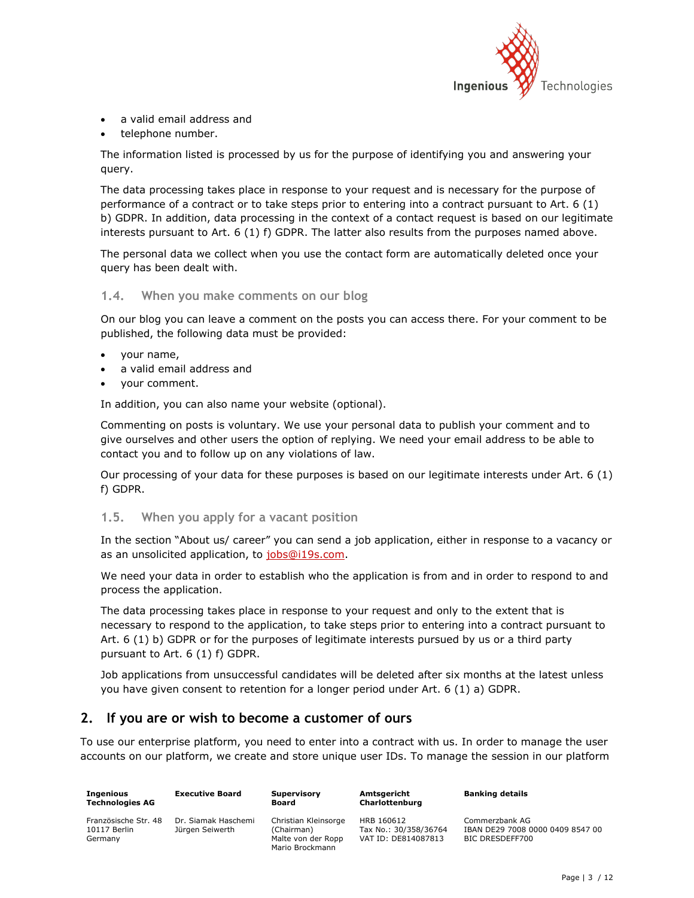

- a valid email address and
- telephone number.

The information listed is processed by us for the purpose of identifying you and answering your query.

The data processing takes place in response to your request and is necessary for the purpose of performance of a contract or to take steps prior to entering into a contract pursuant to Art. 6 (1) b) GDPR. In addition, data processing in the context of a contact request is based on our legitimate interests pursuant to Art. 6 (1) f) GDPR. The latter also results from the purposes named above.

The personal data we collect when you use the contact form are automatically deleted once your query has been dealt with.

### **1.4. When you make comments on our blog**

On our blog you can leave a comment on the posts you can access there. For your comment to be published, the following data must be provided:

- your name,
- a valid email address and
- your comment.

In addition, you can also name your website (optional).

Commenting on posts is voluntary. We use your personal data to publish your comment and to give ourselves and other users the option of replying. We need your email address to be able to contact you and to follow up on any violations of law.

Our processing of your data for these purposes is based on our legitimate interests under Art. 6 (1) f) GDPR.

### **1.5. When you apply for a vacant position**

In the section "About us/ career" you can send a job application, either in response to a vacancy or as an unsolicited application, to [jobs@i19s.com.](mailto:jobs@i19s.com)

We need your data in order to establish who the application is from and in order to respond to and process the application.

The data processing takes place in response to your request and only to the extent that is necessary to respond to the application, to take steps prior to entering into a contract pursuant to Art. 6 (1) b) GDPR or for the purposes of legitimate interests pursued by us or a third party pursuant to Art. 6 (1) f) GDPR.

Job applications from unsuccessful candidates will be deleted after six months at the latest unless you have given consent to retention for a longer period under Art. 6 (1) a) GDPR.

### **2. If you are or wish to become a customer of ours**

To use our enterprise platform, you need to enter into a contract with us. In order to manage the user accounts on our platform, we create and store unique user IDs. To manage the session in our platform

| Ingenious<br><b>Technologies AG</b>             | <b>Executive Board</b>                 | Supervisory<br>Board                                                        | Amtsgericht<br>Charlottenburg                              | <b>Banking details</b>                                                |
|-------------------------------------------------|----------------------------------------|-----------------------------------------------------------------------------|------------------------------------------------------------|-----------------------------------------------------------------------|
| Französische Str. 48<br>10117 Berlin<br>Germany | Dr. Siamak Haschemi<br>Jürgen Seiwerth | Christian Kleinsorge<br>(Chairman)<br>Malte von der Ropp<br>Mario Brockmann | HRB 160612<br>Tax No.: 30/358/36764<br>VAT ID: DE814087813 | Commerzbank AG<br>IBAN DE29 7008 0000 0409 8547 00<br>BIC DRESDEFF700 |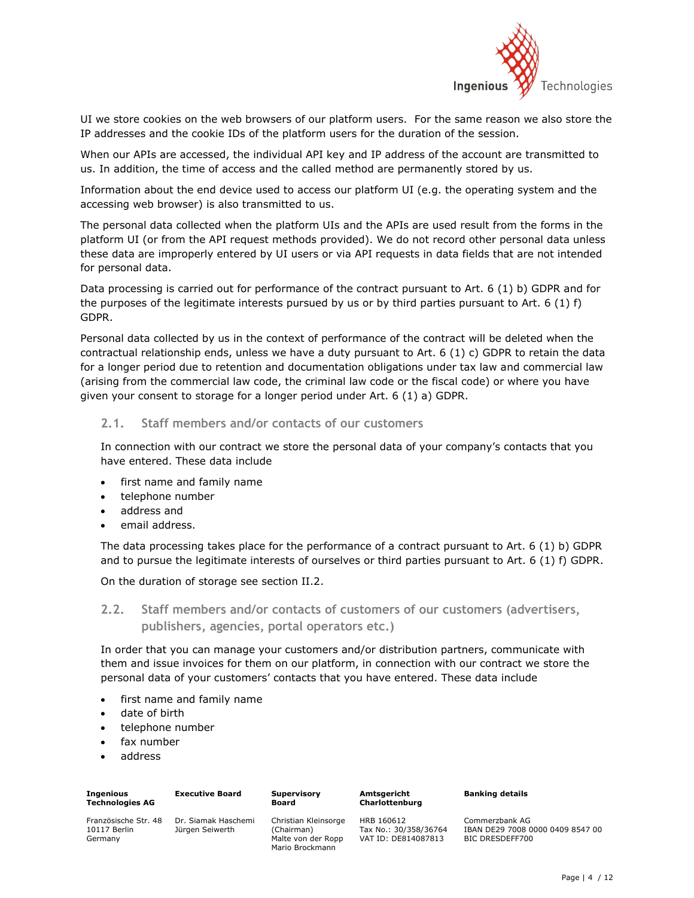

UI we store cookies on the web browsers of our platform users. For the same reason we also store the IP addresses and the cookie IDs of the platform users for the duration of the session.

When our APIs are accessed, the individual API key and IP address of the account are transmitted to us. In addition, the time of access and the called method are permanently stored by us.

Information about the end device used to access our platform UI (e.g. the operating system and the accessing web browser) is also transmitted to us.

The personal data collected when the platform UIs and the APIs are used result from the forms in the platform UI (or from the API request methods provided). We do not record other personal data unless these data are improperly entered by UI users or via API requests in data fields that are not intended for personal data.

Data processing is carried out for performance of the contract pursuant to Art. 6 (1) b) GDPR and for the purposes of the legitimate interests pursued by us or by third parties pursuant to Art. 6 (1)  $f$ ) GDPR.

Personal data collected by us in the context of performance of the contract will be deleted when the contractual relationship ends, unless we have a duty pursuant to Art. 6 (1) c) GDPR to retain the data for a longer period due to retention and documentation obligations under tax law and commercial law (arising from the commercial law code, the criminal law code or the fiscal code) or where you have given your consent to storage for a longer period under Art. 6 (1) a) GDPR.

### **2.1. Staff members and/or contacts of our customers**

In connection with our contract we store the personal data of your company's contacts that you have entered. These data include

- first name and family name
- telephone number
- address and
- email address.

The data processing takes place for the performance of a contract pursuant to Art. 6 (1) b) GDPR and to pursue the legitimate interests of ourselves or third parties pursuant to Art. 6 (1) f) GDPR.

On the duration of storage see section II.2.

**2.2. Staff members and/or contacts of customers of our customers (advertisers, publishers, agencies, portal operators etc.)**

In order that you can manage your customers and/or distribution partners, communicate with them and issue invoices for them on our platform, in connection with our contract we store the personal data of your customers' contacts that you have entered. These data include

- first name and family name
- date of birth
- telephone number
- fax number
- address

| Ingenious<br>Technologies AG | <b>Executive Board</b> | <b>Supervisory</b><br><b>Board</b> |
|------------------------------|------------------------|------------------------------------|
| Französische Str. 48         | Dr. Siamak Haschemi    | Christian Klei                     |
| 10117 Berlin                 | Jürgen Seiwerth        | (Chairman)                         |

Kleinsorge

**Amtsgericht Charlottenburg** **Banking details**

Germany

an) Malte von der Ropp Mario Brockmann HRB 160612 Tax No.: 30/358/36764 VAT ID: DE814087813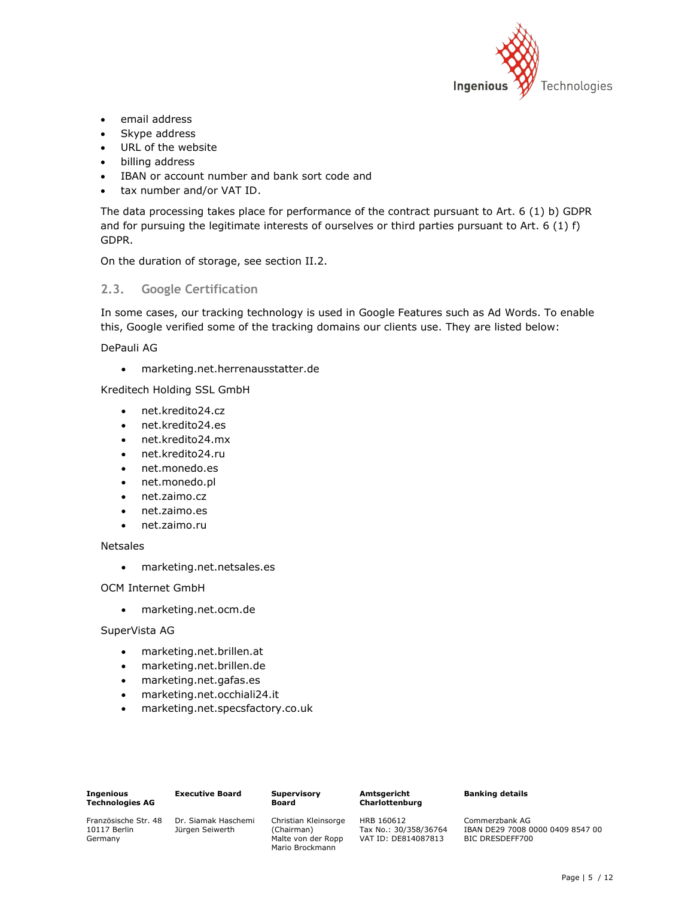

- email address
- Skype address
- URL of the website
- billing address
- IBAN or account number and bank sort code and
- tax number and/or VAT ID.

The data processing takes place for performance of the contract pursuant to Art. 6 (1) b) GDPR and for pursuing the legitimate interests of ourselves or third parties pursuant to Art. 6 (1) f) GDPR.

On the duration of storage, see section II.2.

### **2.3. Google Certification**

In some cases, our tracking technology is used in Google Features such as Ad Words. To enable this, Google verified some of the tracking domains our clients use. They are listed below:

#### DePauli AG

marketing.net.herrenausstatter.de

Kreditech Holding SSL GmbH

- net.kredito24.cz
- net.kredito24.es
- net.kredito24.mx
- net.kredito24.ru
- net.monedo.es
- net.monedo.pl
- net.zaimo.cz
- net.zaimo.es
- net.zaimo.ru

#### Netsales

marketing.net.netsales.es

OCM Internet GmbH

marketing.net.ocm.de

#### SuperVista AG

- marketing.net.brillen.at
- marketing.net.brillen.de
- marketing.net.gafas.es
- marketing.net.occhiali24.it
- marketing.net.specsfactory.co.uk

**Supervisory Board**

#### **Amtsgericht Charlottenburg**

**Banking details**

Französische Str. 48 10117 Berlin Germany

Dr. Siamak Haschemi Jürgen Seiwerth

Christian Kleinsorge (Chairman) Malte von der Ropp Mario Brockmann

HRB 160612 Tax No.: 30/358/36764 VAT ID: DE814087813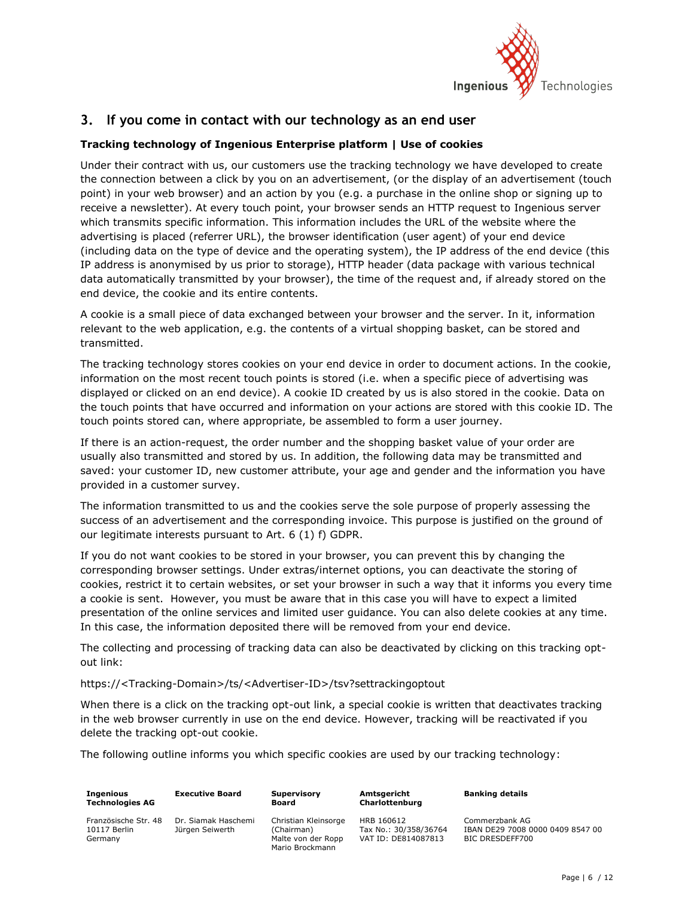

### **3. If you come in contact with our technology as an end user**

### **Tracking technology of Ingenious Enterprise platform | Use of cookies**

Under their contract with us, our customers use the tracking technology we have developed to create the connection between a click by you on an advertisement, (or the display of an advertisement (touch point) in your web browser) and an action by you (e.g. a purchase in the online shop or signing up to receive a newsletter). At every touch point, your browser sends an HTTP request to Ingenious server which transmits specific information. This information includes the URL of the website where the advertising is placed (referrer URL), the browser identification (user agent) of your end device (including data on the type of device and the operating system), the IP address of the end device (this IP address is anonymised by us prior to storage), HTTP header (data package with various technical data automatically transmitted by your browser), the time of the request and, if already stored on the end device, the cookie and its entire contents.

A cookie is a small piece of data exchanged between your browser and the server. In it, information relevant to the web application, e.g. the contents of a virtual shopping basket, can be stored and transmitted.

The tracking technology stores cookies on your end device in order to document actions. In the cookie, information on the most recent touch points is stored (i.e. when a specific piece of advertising was displayed or clicked on an end device). A cookie ID created by us is also stored in the cookie. Data on the touch points that have occurred and information on your actions are stored with this cookie ID. The touch points stored can, where appropriate, be assembled to form a user journey.

If there is an action-request, the order number and the shopping basket value of your order are usually also transmitted and stored by us. In addition, the following data may be transmitted and saved: your customer ID, new customer attribute, your age and gender and the information you have provided in a customer survey.

The information transmitted to us and the cookies serve the sole purpose of properly assessing the success of an advertisement and the corresponding invoice. This purpose is justified on the ground of our legitimate interests pursuant to Art. 6 (1) f) GDPR.

If you do not want cookies to be stored in your browser, you can prevent this by changing the corresponding browser settings. Under extras/internet options, you can deactivate the storing of cookies, restrict it to certain websites, or set your browser in such a way that it informs you every time a cookie is sent. However, you must be aware that in this case you will have to expect a limited presentation of the online services and limited user guidance. You can also delete cookies at any time. In this case, the information deposited there will be removed from your end device.

The collecting and processing of tracking data can also be deactivated by clicking on this tracking optout link:

### https://<Tracking-Domain>/ts/<Advertiser-ID>/tsv?settrackingoptout

When there is a click on the tracking opt-out link, a special cookie is written that deactivates tracking in the web browser currently in use on the end device. However, tracking will be reactivated if you delete the tracking opt-out cookie.

The following outline informs you which specific cookies are used by our tracking technology:

| <b>Ingenious</b>       |  |
|------------------------|--|
| <b>Technologies AG</b> |  |

**Executive Board**

**Supervisory Board**

Französische Str. 48 10117 Berlin Germany

Dr. Siamak Haschemi Jürgen Seiwerth

Christian Kleinsorge (Chairman) Malte von der Ropp Mario Brockmann

**Amtsgericht Charlottenburg** HRB 160612

**Banking details**

Tax No.: 30/358/36764 VAT ID: DE814087813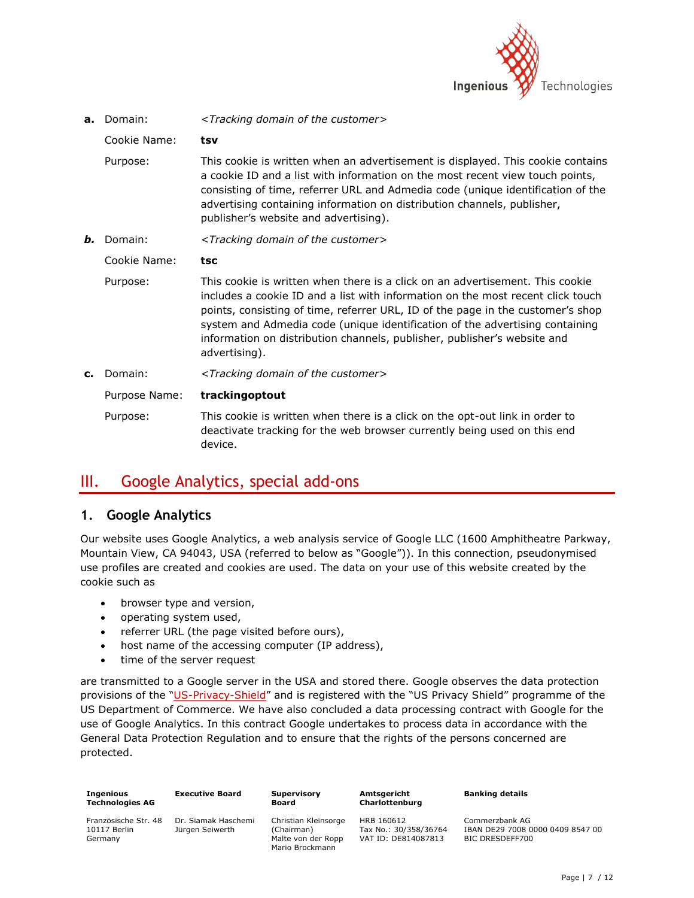

| a.                                                                          | Domain:       | <tracking customer="" domain="" of="" the=""></tracking>                                                                                                                                                                                                                                                                                                                                                                         |  |
|-----------------------------------------------------------------------------|---------------|----------------------------------------------------------------------------------------------------------------------------------------------------------------------------------------------------------------------------------------------------------------------------------------------------------------------------------------------------------------------------------------------------------------------------------|--|
|                                                                             | Cookie Name:  | tsv                                                                                                                                                                                                                                                                                                                                                                                                                              |  |
|                                                                             | Purpose:      | This cookie is written when an advertisement is displayed. This cookie contains<br>a cookie ID and a list with information on the most recent view touch points,<br>consisting of time, referrer URL and Admedia code (unique identification of the<br>advertising containing information on distribution channels, publisher,<br>publisher's website and advertising).                                                          |  |
| <tracking customer="" domain="" of="" the=""><br/>Domain:<br/>Ь.</tracking> |               |                                                                                                                                                                                                                                                                                                                                                                                                                                  |  |
|                                                                             | Cookie Name:  | tsc                                                                                                                                                                                                                                                                                                                                                                                                                              |  |
|                                                                             | Purpose:      | This cookie is written when there is a click on an advertisement. This cookie<br>includes a cookie ID and a list with information on the most recent click touch<br>points, consisting of time, referrer URL, ID of the page in the customer's shop<br>system and Admedia code (unique identification of the advertising containing<br>information on distribution channels, publisher, publisher's website and<br>advertising). |  |
| c.                                                                          | Domain:       | <tracking customer="" domain="" of="" the=""></tracking>                                                                                                                                                                                                                                                                                                                                                                         |  |
|                                                                             | Purpose Name: | trackingoptout                                                                                                                                                                                                                                                                                                                                                                                                                   |  |
|                                                                             | Purpose:      | This cookie is written when there is a click on the opt-out link in order to<br>deactivate tracking for the web browser currently being used on this end<br>device.                                                                                                                                                                                                                                                              |  |

## III. Google Analytics, special add-ons

### **1. Google Analytics**

Our website uses Google Analytics, a web analysis service of Google LLC (1600 Amphitheatre Parkway, Mountain View, CA 94043, USA (referred to below as "Google")). In this connection, pseudonymised use profiles are created and cookies are used. The data on your use of this website created by the cookie such as

- browser type and version,
- operating system used,
- referrer URL (the page visited before ours),
- host name of the accessing computer (IP address),
- time of the server request

are transmitted to a Google server in the USA and stored there. Google observes the data protection provisions of the "[US-Privacy-Shield](https://www.privacyshield.gov/participant?id=a2zt000000001L5AAI&status=Active)" and is registered with the "US Privacy Shield" programme of the US Department of Commerce. We have also concluded a data processing contract with Google for the use of Google Analytics. In this contract Google undertakes to process data in accordance with the General Data Protection Regulation and to ensure that the rights of the persons concerned are protected.

| <b>Ingenious</b>                                | <b>Executive Board</b>                 | <b>Supervisory</b>                                                          | Amtsgericht                                                |
|-------------------------------------------------|----------------------------------------|-----------------------------------------------------------------------------|------------------------------------------------------------|
| <b>Technologies AG</b>                          |                                        | Board                                                                       | Charlottenburg                                             |
| Französische Str. 48<br>10117 Berlin<br>Germany | Dr. Siamak Haschemi<br>Jürgen Seiwerth | Christian Kleinsorge<br>(Chairman)<br>Malte von der Ropp<br>Mario Brockmann | HRB 160612<br>Tax No.: 30/358/36764<br>VAT ID: DE814087813 |

**Banking details**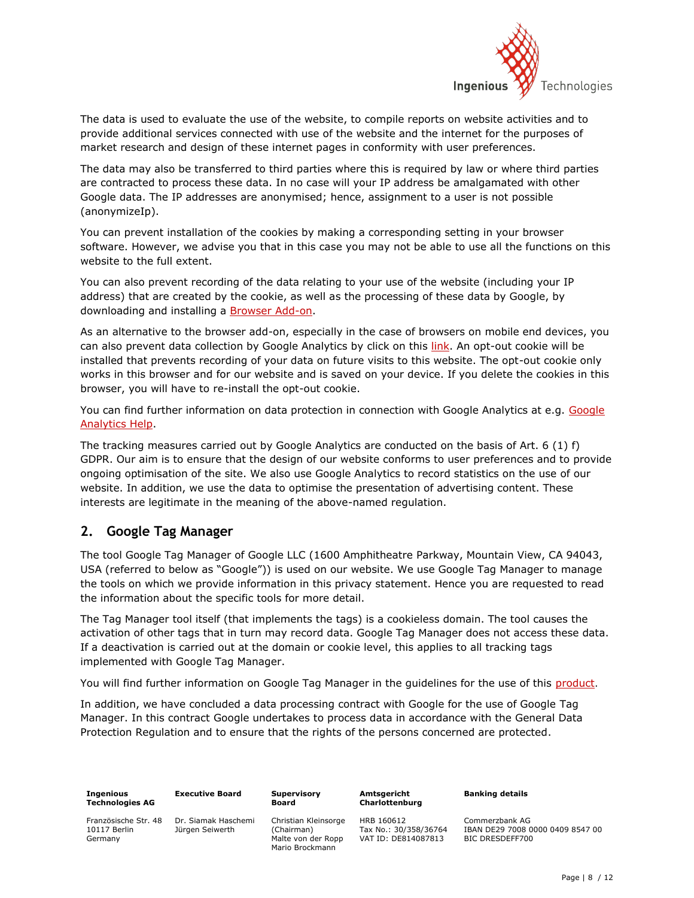

The data is used to evaluate the use of the website, to compile reports on website activities and to provide additional services connected with use of the website and the internet for the purposes of market research and design of these internet pages in conformity with user preferences.

The data may also be transferred to third parties where this is required by law or where third parties are contracted to process these data. In no case will your IP address be amalgamated with other Google data. The IP addresses are anonymised; hence, assignment to a user is not possible (anonymizeIp).

You can prevent installation of the cookies by making a corresponding setting in your browser software. However, we advise you that in this case you may not be able to use all the functions on this website to the full extent.

You can also prevent recording of the data relating to your use of the website (including your IP address) that are created by the cookie, as well as the processing of these data by Google, by downloading and installing a [Browser](https://tools.google.com/dlpage/gaoptout?hl=en) Add-on.

As an alternative to the browser add-on, especially in the case of browsers on mobile end devices, you can also prevent data collection by Google Analytics by click on this [link.](javascript:gaOptout()) An opt-out cookie will be installed that prevents recording of your data on future visits to this website. The opt-out cookie only works in this browser and for our website and is saved on your device. If you delete the cookies in this browser, you will have to re-install the opt-out cookie.

You can find further information on data protection in connection with Google Analytics at e.g. [Google](https://support.google.com/analytics/answer/6004245?hl=en)  [Analytics Help.](https://support.google.com/analytics/answer/6004245?hl=en)

The tracking measures carried out by Google Analytics are conducted on the basis of Art. 6 (1) f) GDPR. Our aim is to ensure that the design of our website conforms to user preferences and to provide ongoing optimisation of the site. We also use Google Analytics to record statistics on the use of our website. In addition, we use the data to optimise the presentation of advertising content. These interests are legitimate in the meaning of the above-named regulation.

### **2. Google Tag Manager**

The tool Google Tag Manager of Google LLC (1600 Amphitheatre Parkway, Mountain View, CA 94043, USA (referred to below as "Google")) is used on our website. We use Google Tag Manager to manage the tools on which we provide information in this privacy statement. Hence you are requested to read the information about the specific tools for more detail.

The Tag Manager tool itself (that implements the tags) is a cookieless domain. The tool causes the activation of other tags that in turn may record data. Google Tag Manager does not access these data. If a deactivation is carried out at the domain or cookie level, this applies to all tracking tags implemented with Google Tag Manager.

You will find further information on Google Tag Manager in the guidelines for the use of this [product](https://policies.google.com/privacy?hl=en&gl=de).

In addition, we have concluded a data processing contract with Google for the use of Google Tag Manager. In this contract Google undertakes to process data in accordance with the General Data Protection Regulation and to ensure that the rights of the persons concerned are protected.

| Ingenious<br><b>Technologies AG</b>             | <b>Executive Board</b>                 |
|-------------------------------------------------|----------------------------------------|
| Französische Str. 48<br>10117 Berlin<br>Germany | Dr. Siamak Haschemi<br>Jürgen Seiwerth |

Christian Kleinsorge (Chairman) Malte von der Ropp Mario Brockmann

**Supervisory Board**

**Amtsgericht Charlottenburg** HRB 160612

Tax No.: 30/358/36764 VAT ID: DE814087813

**Banking details**

Commerzbank AG IBAN DE29 7008 0000 0409 8547 00 BIC DRESDEFF700

Page | 8 / 12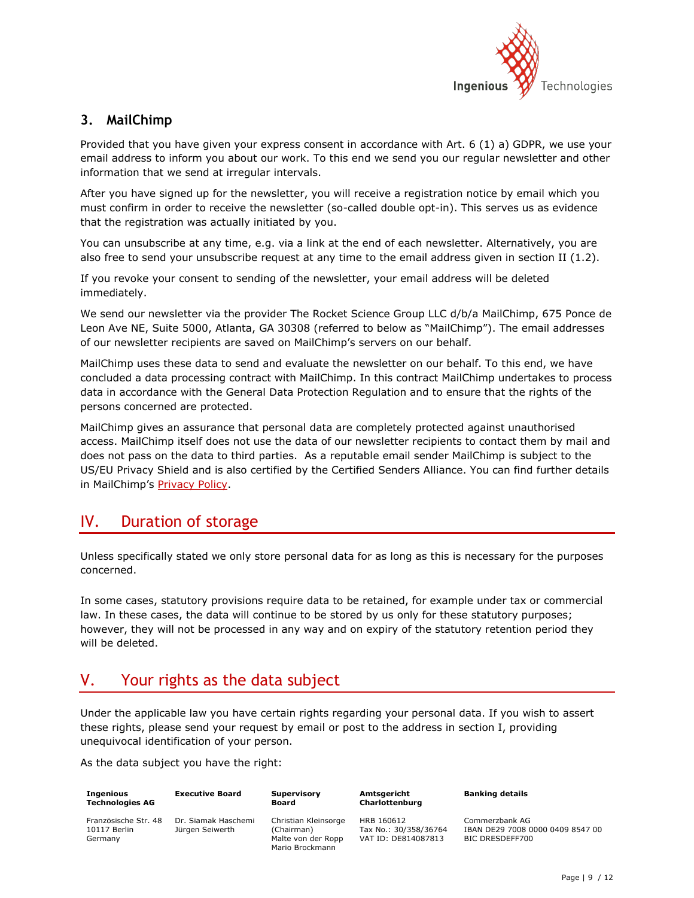

### **3. MailChimp**

Provided that you have given your express consent in accordance with Art. 6 (1) a) GDPR, we use your email address to inform you about our work. To this end we send you our regular newsletter and other information that we send at irregular intervals.

After you have signed up for the newsletter, you will receive a registration notice by email which you must confirm in order to receive the newsletter (so-called double opt-in). This serves us as evidence that the registration was actually initiated by you.

You can unsubscribe at any time, e.g. via a link at the end of each newsletter. Alternatively, you are also free to send your unsubscribe request at any time to the email address given in section II (1.2).

If you revoke your consent to sending of the newsletter, your email address will be deleted immediately.

We send our newsletter via the provider The Rocket Science Group LLC d/b/a MailChimp, 675 Ponce de Leon Ave NE, Suite 5000, Atlanta, GA 30308 (referred to below as "MailChimp"). The email addresses of our newsletter recipients are saved on MailChimp's servers on our behalf.

MailChimp uses these data to send and evaluate the newsletter on our behalf. To this end, we have concluded a data processing contract with MailChimp. In this contract MailChimp undertakes to process data in accordance with the General Data Protection Regulation and to ensure that the rights of the persons concerned are protected.

MailChimp gives an assurance that personal data are completely protected against unauthorised access. MailChimp itself does not use the data of our newsletter recipients to contact them by mail and does not pass on the data to third parties. As a reputable email sender MailChimp is subject to the US/EU Privacy Shield and is also certified by the Certified Senders Alliance. You can find further details in MailChimp's [Privacy Policy.](https://mailchimp.com/legal/privacy)

## IV. Duration of storage

Unless specifically stated we only store personal data for as long as this is necessary for the purposes concerned.

In some cases, statutory provisions require data to be retained, for example under tax or commercial law. In these cases, the data will continue to be stored by us only for these statutory purposes; however, they will not be processed in any way and on expiry of the statutory retention period they will be deleted.

## V. Your rights as the data subject

Under the applicable law you have certain rights regarding your personal data. If you wish to assert these rights, please send your request by email or post to the address in section I, providing unequivocal identification of your person.

As the data subject you have the right:

| <b>Ingenious</b><br><b>Technologies AG</b>      | <b>Executive Board</b>                 | <b>Supervisory</b><br><b>Board</b>                                          |
|-------------------------------------------------|----------------------------------------|-----------------------------------------------------------------------------|
| Französische Str. 48<br>10117 Berlin<br>Germany | Dr. Siamak Haschemi<br>Jürgen Seiwerth | Christian Kleinsorge<br>(Chairman)<br>Malte von der Ropp<br>Mario Brockmann |

**Amtsgericht Charlottenburg**

HRB 160612 Tax No.: 30/358/36764 VAT ID: DE814087813

**Banking details**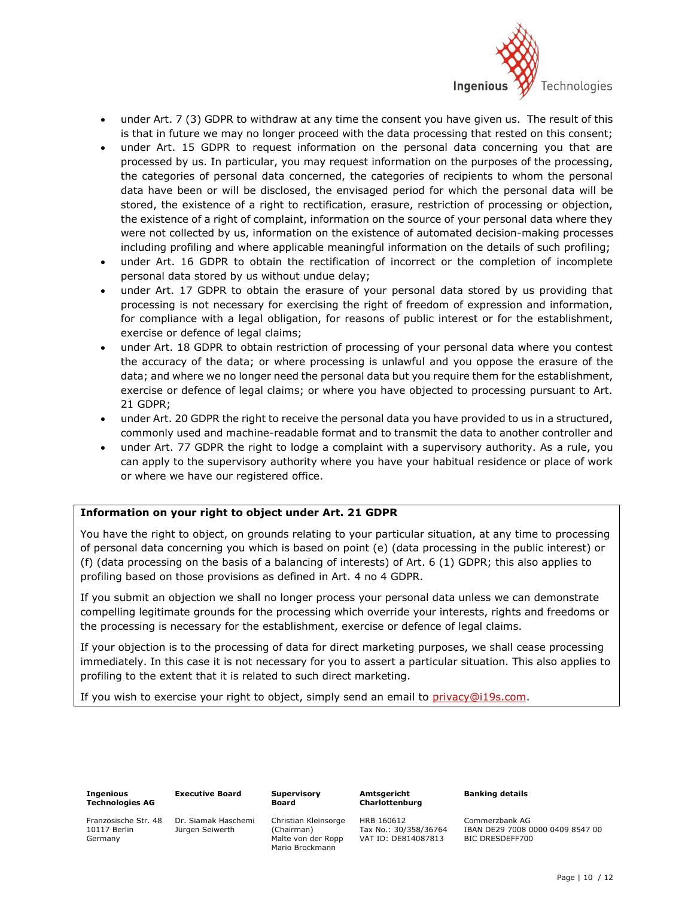

- under Art. 7 (3) GDPR to withdraw at any time the consent you have given us. The result of this is that in future we may no longer proceed with the data processing that rested on this consent;
- under Art. 15 GDPR to request information on the personal data concerning you that are processed by us. In particular, you may request information on the purposes of the processing, the categories of personal data concerned, the categories of recipients to whom the personal data have been or will be disclosed, the envisaged period for which the personal data will be stored, the existence of a right to rectification, erasure, restriction of processing or objection, the existence of a right of complaint, information on the source of your personal data where they were not collected by us, information on the existence of automated decision-making processes including profiling and where applicable meaningful information on the details of such profiling;
- under Art. 16 GDPR to obtain the rectification of incorrect or the completion of incomplete personal data stored by us without undue delay;
- under Art. 17 GDPR to obtain the erasure of your personal data stored by us providing that processing is not necessary for exercising the right of freedom of expression and information, for compliance with a legal obligation, for reasons of public interest or for the establishment, exercise or defence of legal claims;
- under Art. 18 GDPR to obtain restriction of processing of your personal data where you contest the accuracy of the data; or where processing is unlawful and you oppose the erasure of the data; and where we no longer need the personal data but you require them for the establishment, exercise or defence of legal claims; or where you have objected to processing pursuant to Art. 21 GDPR;
- under Art. 20 GDPR the right to receive the personal data you have provided to us in a structured, commonly used and machine-readable format and to transmit the data to another controller and
- under Art. 77 GDPR the right to lodge a complaint with a supervisory authority. As a rule, you can apply to the supervisory authority where you have your habitual residence or place of work or where we have our registered office.

### **Information on your right to object under Art. 21 GDPR**

You have the right to object, on grounds relating to your particular situation, at any time to processing of personal data concerning you which is based on point (e) (data processing in the public interest) or (f) (data processing on the basis of a balancing of interests) of Art. 6 (1) GDPR; this also applies to profiling based on those provisions as defined in Art. 4 no 4 GDPR.

If you submit an objection we shall no longer process your personal data unless we can demonstrate compelling legitimate grounds for the processing which override your interests, rights and freedoms or the processing is necessary for the establishment, exercise or defence of legal claims.

If your objection is to the processing of data for direct marketing purposes, we shall cease processing immediately. In this case it is not necessary for you to assert a particular situation. This also applies to profiling to the extent that it is related to such direct marketing.

If you wish to exercise your right to object, simply send an email to [privacy@i19s.com.](mailto:privacy@i19s.com)

| Ingenious       |  |
|-----------------|--|
| Technologies AG |  |

**Executive Board**

**Supervisory Board**

Französische Str. 48 10117 Berlin Germany

Dr. Siamak Haschemi Jürgen Seiwerth

Christian Kleinsorge (Chairman) Malte von der Ropp Mario Brockmann

**Amtsgericht Charlottenburg**

Tax No.: 30/358/36764 VAT ID: DE814087813

HRB 160612

**Banking details**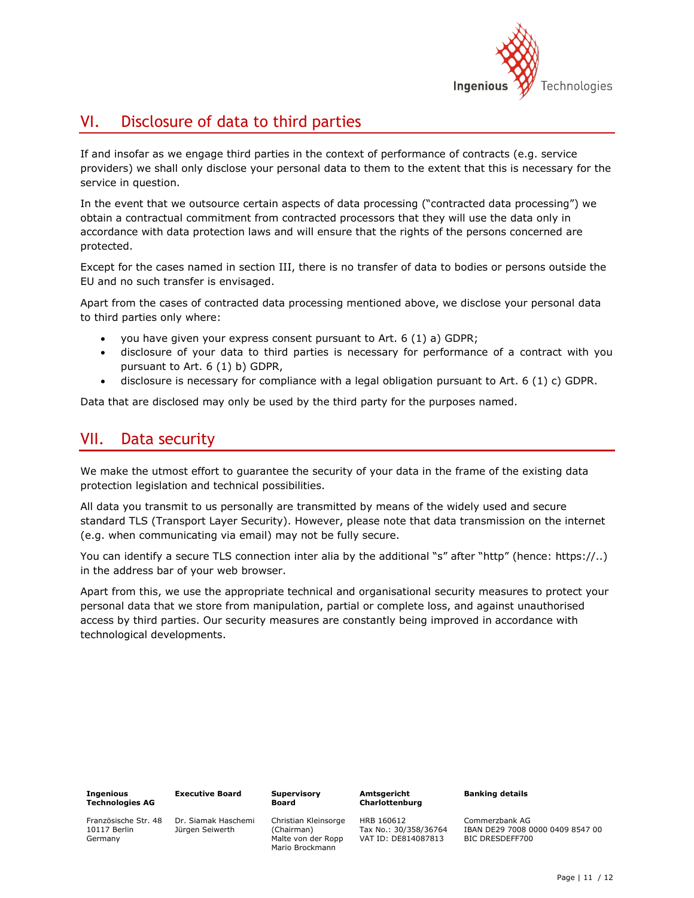

## VI. Disclosure of data to third parties

If and insofar as we engage third parties in the context of performance of contracts (e.g. service providers) we shall only disclose your personal data to them to the extent that this is necessary for the service in question.

In the event that we outsource certain aspects of data processing ("contracted data processing") we obtain a contractual commitment from contracted processors that they will use the data only in accordance with data protection laws and will ensure that the rights of the persons concerned are protected.

Except for the cases named in section III, there is no transfer of data to bodies or persons outside the EU and no such transfer is envisaged.

Apart from the cases of contracted data processing mentioned above, we disclose your personal data to third parties only where:

- you have given your express consent pursuant to Art. 6 (1) a) GDPR;
- disclosure of your data to third parties is necessary for performance of a contract with you pursuant to Art. 6 (1) b) GDPR,
- disclosure is necessary for compliance with a legal obligation pursuant to Art. 6 (1) c) GDPR.

Data that are disclosed may only be used by the third party for the purposes named.

## VII. Data security

We make the utmost effort to guarantee the security of your data in the frame of the existing data protection legislation and technical possibilities.

All data you transmit to us personally are transmitted by means of the widely used and secure standard TLS (Transport Layer Security). However, please note that data transmission on the internet (e.g. when communicating via email) may not be fully secure.

You can identify a secure TLS connection inter alia by the additional "s" after "http" (hence: https://..) in the address bar of your web browser.

Apart from this, we use the appropriate technical and organisational security measures to protect your personal data that we store from manipulation, partial or complete loss, and against unauthorised access by third parties. Our security measures are constantly being improved in accordance with technological developments.

| <b>Ingenious</b>       |  |
|------------------------|--|
| <b>Technologies AG</b> |  |

**Executive Board**

Französische Str. 48 10117 Berlin Germany

Dr. Siamak Haschemi Jürgen Seiwerth

Christian Kleinsorge (Chairman) Malte von der Ropp Mario Brockmann

**Supervisory Board**

#### **Amtsgericht Charlottenburg**

Tax No.: 30/358/36764 VAT ID: DE814087813

HRB 160612

**Banking details**